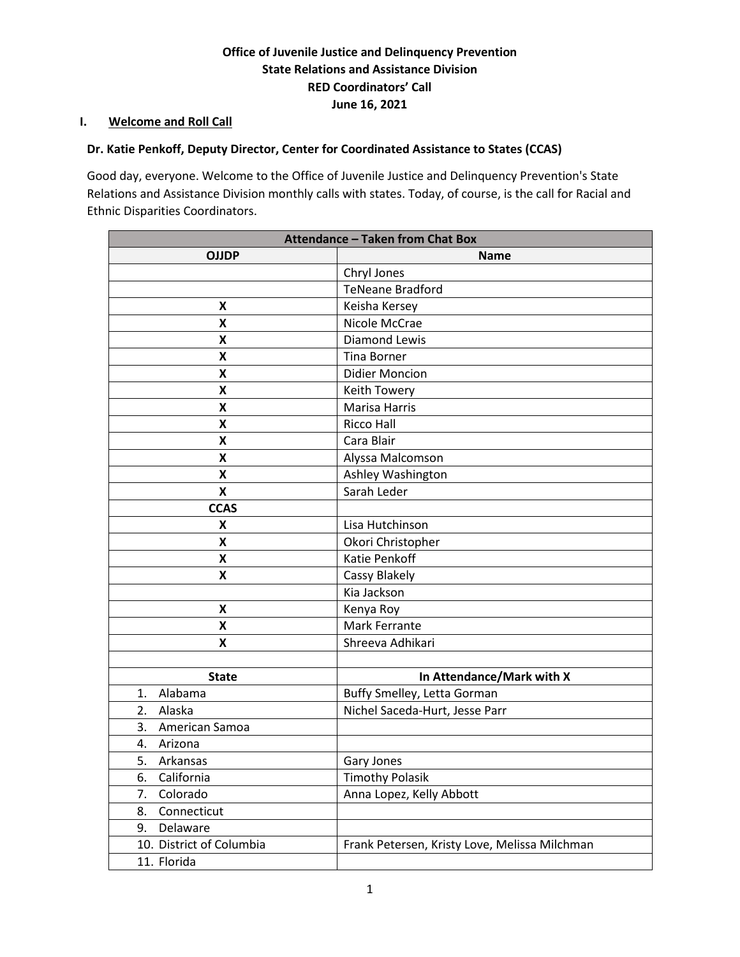# **Office of Juvenile Justice and Delinquency Prevention State Relations and Assistance Division RED Coordinators' Call June 16, 2021**

### **I. Welcome and Roll Call**

# **Dr. Katie Penkoff, Deputy Director, Center for Coordinated Assistance to States (CCAS)**

Good day, everyone. Welcome to the Office of Juvenile Justice and Delinquency Prevention's State Relations and Assistance Division monthly calls with states. Today, of course, is the call for Racial and Ethnic Disparities Coordinators.

| <b>Attendance - Taken from Chat Box</b> |                                               |
|-----------------------------------------|-----------------------------------------------|
| <b>OJJDP</b>                            | <b>Name</b>                                   |
|                                         | Chryl Jones                                   |
|                                         | <b>TeNeane Bradford</b>                       |
| X                                       | Keisha Kersey                                 |
| X                                       | Nicole McCrae                                 |
| X                                       | <b>Diamond Lewis</b>                          |
| Χ                                       | <b>Tina Borner</b>                            |
| Χ                                       | <b>Didier Moncion</b>                         |
| X                                       | Keith Towery                                  |
| X                                       | <b>Marisa Harris</b>                          |
| Χ                                       | <b>Ricco Hall</b>                             |
| X                                       | Cara Blair                                    |
| X                                       | Alyssa Malcomson                              |
| X                                       | Ashley Washington                             |
| $\pmb{\mathsf{X}}$                      | Sarah Leder                                   |
| <b>CCAS</b>                             |                                               |
| X                                       | Lisa Hutchinson                               |
| X                                       | Okori Christopher                             |
| X                                       | <b>Katie Penkoff</b>                          |
| Χ                                       | Cassy Blakely                                 |
|                                         | Kia Jackson                                   |
| X                                       | Kenya Roy                                     |
| Χ                                       | Mark Ferrante                                 |
| X                                       | Shreeva Adhikari                              |
|                                         |                                               |
| <b>State</b>                            | In Attendance/Mark with X                     |
| Alabama<br>1.                           | Buffy Smelley, Letta Gorman                   |
| 2.<br>Alaska                            | Nichel Saceda-Hurt, Jesse Parr                |
| American Samoa<br>3.                    |                                               |
| 4.<br>Arizona                           |                                               |
| 5.<br>Arkansas                          | Gary Jones                                    |
| California<br>6.                        | <b>Timothy Polasik</b>                        |
| 7.<br>Colorado                          | Anna Lopez, Kelly Abbott                      |
| Connecticut<br>8.                       |                                               |
| 9.<br>Delaware                          |                                               |
| 10. District of Columbia                | Frank Petersen, Kristy Love, Melissa Milchman |
| 11. Florida                             |                                               |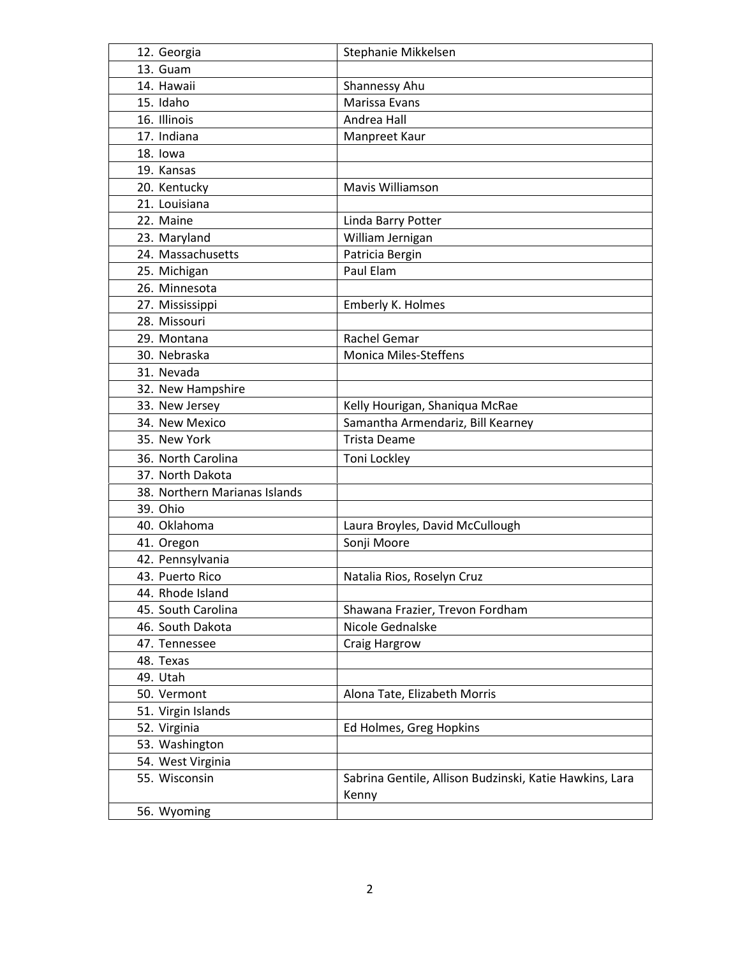| 12. Georgia                   | Stephanie Mikkelsen                                              |
|-------------------------------|------------------------------------------------------------------|
| 13. Guam                      |                                                                  |
| 14. Hawaii                    | Shannessy Ahu                                                    |
| 15. Idaho                     | Marissa Evans                                                    |
| 16. Illinois                  | Andrea Hall                                                      |
| 17. Indiana                   | Manpreet Kaur                                                    |
| 18. lowa                      |                                                                  |
| 19. Kansas                    |                                                                  |
| 20. Kentucky                  | Mavis Williamson                                                 |
| 21. Louisiana                 |                                                                  |
| 22. Maine                     | Linda Barry Potter                                               |
| 23. Maryland                  | William Jernigan                                                 |
| 24. Massachusetts             | Patricia Bergin                                                  |
| 25. Michigan                  | Paul Elam                                                        |
| 26. Minnesota                 |                                                                  |
| 27. Mississippi               | Emberly K. Holmes                                                |
| 28. Missouri                  |                                                                  |
| 29. Montana                   | Rachel Gemar                                                     |
| 30. Nebraska                  | <b>Monica Miles-Steffens</b>                                     |
| 31. Nevada                    |                                                                  |
| 32. New Hampshire             |                                                                  |
| 33. New Jersey                | Kelly Hourigan, Shaniqua McRae                                   |
| 34. New Mexico                | Samantha Armendariz, Bill Kearney                                |
| 35. New York                  | <b>Trista Deame</b>                                              |
| 36. North Carolina            | Toni Lockley                                                     |
| 37. North Dakota              |                                                                  |
| 38. Northern Marianas Islands |                                                                  |
| 39. Ohio                      |                                                                  |
| 40. Oklahoma                  | Laura Broyles, David McCullough                                  |
| 41. Oregon                    | Sonji Moore                                                      |
| 42. Pennsylvania              |                                                                  |
| 43. Puerto Rico               | Natalia Rios, Roselyn Cruz                                       |
| 44. Rhode Island              |                                                                  |
| 45. South Carolina            | Shawana Frazier, Trevon Fordham                                  |
| 46. South Dakota              | Nicole Gednalske                                                 |
| 47. Tennessee                 | Craig Hargrow                                                    |
| 48. Texas                     |                                                                  |
| 49. Utah                      |                                                                  |
| 50. Vermont                   | Alona Tate, Elizabeth Morris                                     |
| 51. Virgin Islands            |                                                                  |
| 52. Virginia                  | Ed Holmes, Greg Hopkins                                          |
| 53. Washington                |                                                                  |
| 54. West Virginia             |                                                                  |
| 55. Wisconsin                 | Sabrina Gentile, Allison Budzinski, Katie Hawkins, Lara<br>Kenny |
| 56. Wyoming                   |                                                                  |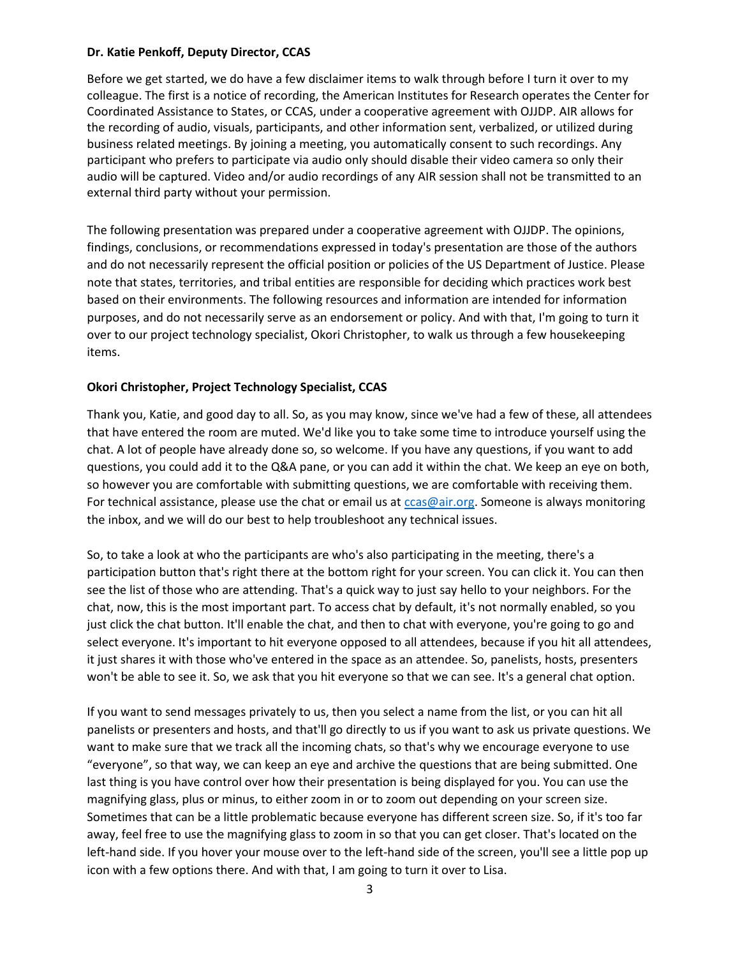#### **Dr. Katie Penkoff, Deputy Director, CCAS**

Before we get started, we do have a few disclaimer items to walk through before I turn it over to my colleague. The first is a notice of recording, the American Institutes for Research operates the Center for Coordinated Assistance to States, or CCAS, under a cooperative agreement with OJJDP. AIR allows for the recording of audio, visuals, participants, and other information sent, verbalized, or utilized during business related meetings. By joining a meeting, you automatically consent to such recordings. Any participant who prefers to participate via audio only should disable their video camera so only their audio will be captured. Video and/or audio recordings of any AIR session shall not be transmitted to an external third party without your permission.

The following presentation was prepared under a cooperative agreement with OJJDP. The opinions, findings, conclusions, or recommendations expressed in today's presentation are those of the authors and do not necessarily represent the official position or policies of the US Department of Justice. Please note that states, territories, and tribal entities are responsible for deciding which practices work best based on their environments. The following resources and information are intended for information purposes, and do not necessarily serve as an endorsement or policy. And with that, I'm going to turn it over to our project technology specialist, Okori Christopher, to walk us through a few housekeeping items.

### **Okori Christopher, Project Technology Specialist, CCAS**

Thank you, Katie, and good day to all. So, as you may know, since we've had a few of these, all attendees that have entered the room are muted. We'd like you to take some time to introduce yourself using the chat. A lot of people have already done so, so welcome. If you have any questions, if you want to add questions, you could add it to the Q&A pane, or you can add it within the chat. We keep an eye on both, so however you are comfortable with submitting questions, we are comfortable with receiving them. For technical assistance, please use the chat or email us at  $ccas@air.org$ . Someone is always monitoring the inbox, and we will do our best to help troubleshoot any technical issues.

So, to take a look at who the participants are who's also participating in the meeting, there's a participation button that's right there at the bottom right for your screen. You can click it. You can then see the list of those who are attending. That's a quick way to just say hello to your neighbors. For the chat, now, this is the most important part. To access chat by default, it's not normally enabled, so you just click the chat button. It'll enable the chat, and then to chat with everyone, you're going to go and select everyone. It's important to hit everyone opposed to all attendees, because if you hit all attendees, it just shares it with those who've entered in the space as an attendee. So, panelists, hosts, presenters won't be able to see it. So, we ask that you hit everyone so that we can see. It's a general chat option.

If you want to send messages privately to us, then you select a name from the list, or you can hit all panelists or presenters and hosts, and that'll go directly to us if you want to ask us private questions. We want to make sure that we track all the incoming chats, so that's why we encourage everyone to use "everyone", so that way, we can keep an eye and archive the questions that are being submitted. One last thing is you have control over how their presentation is being displayed for you. You can use the magnifying glass, plus or minus, to either zoom in or to zoom out depending on your screen size. Sometimes that can be a little problematic because everyone has different screen size. So, if it's too far away, feel free to use the magnifying glass to zoom in so that you can get closer. That's located on the left-hand side. If you hover your mouse over to the left-hand side of the screen, you'll see a little pop up icon with a few options there. And with that, I am going to turn it over to Lisa.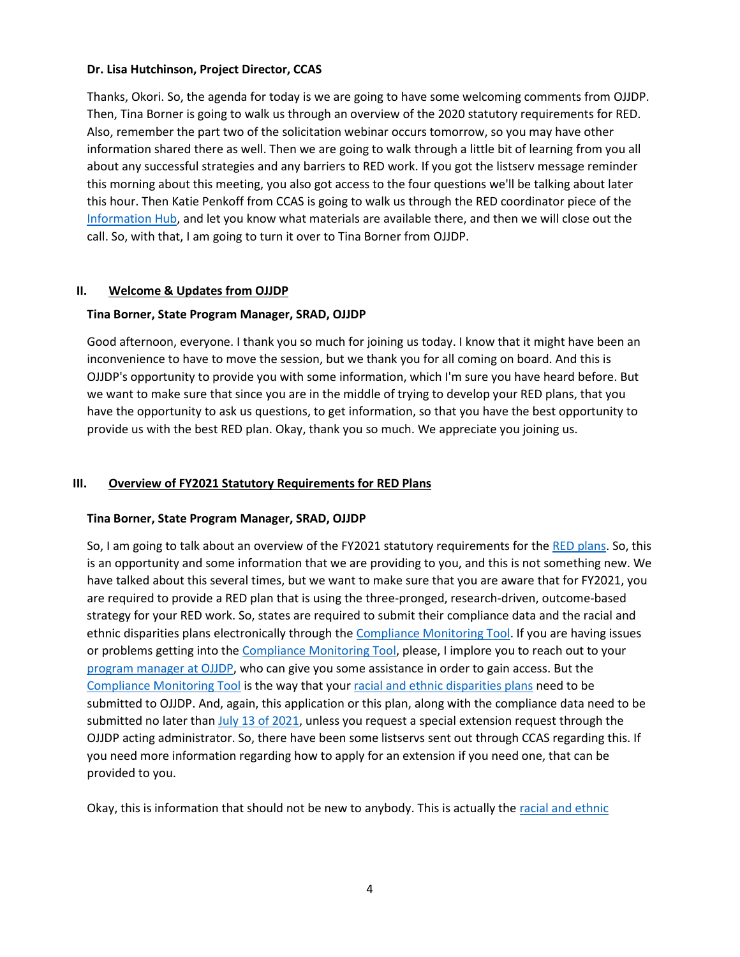#### **Dr. Lisa Hutchinson, Project Director, CCAS**

Thanks, Okori. So, the agenda for today is we are going to have some welcoming comments from OJJDP. Then, Tina Borner is going to walk us through an overview of the 2020 statutory requirements for RED. Also, remember the part two of the solicitation webinar occurs tomorrow, so you may have other information shared there as well. Then we are going to walk through a little bit of learning from you all about any successful strategies and any barriers to RED work. If you got the listserv message reminder this morning about this meeting, you also got access to the four questions we'll be talking about later this hour. Then Katie Penkoff from CCAS is going to walk us through the RED coordinator piece of the [Information Hub,](https://ccastates.org/) and let you know what materials are available there, and then we will close out the call. So, with that, I am going to turn it over to Tina Borner from OJJDP.

#### **II. Welcome & Updates from OJJDP**

#### **Tina Borner, State Program Manager, SRAD, OJJDP**

Good afternoon, everyone. I thank you so much for joining us today. I know that it might have been an inconvenience to have to move the session, but we thank you for all coming on board. And this is OJJDP's opportunity to provide you with some information, which I'm sure you have heard before. But we want to make sure that since you are in the middle of trying to develop your RED plans, that you have the opportunity to ask us questions, to get information, so that you have the best opportunity to provide us with the best RED plan. Okay, thank you so much. We appreciate you joining us.

#### **III. Overview of FY2021 Statutory Requirements for RED Plans**

#### **Tina Borner, State Program Manager, SRAD, OJJDP**

So, I am going to talk about an overview of the FY2021 statutory requirements for the [RED plans.](https://ojjdp.ojp.gov/funding/fy2021/titleII/compliance-data) So, this is an opportunity and some information that we are providing to you, and this is not something new. We have talked about this several times, but we want to make sure that you are aware that for FY2021, you are required to provide a RED plan that is using the three-pronged, research-driven, outcome-based strategy for your RED work. So, states are required to submit their compliance data and the racial and ethnic disparities plans electronically through the [Compliance Monitoring Tool.](https://ojpsso.ojp.gov/) If you are having issues or problems getting into th[e Compliance Monitoring Tool,](https://ojpsso.ojp.gov/) please, I implore you to reach out to your [program manager at OJJDP,](https://ojjdp.ojp.gov/states) who can give you some assistance in order to gain access. But the [Compliance Monitoring Tool](https://ojpsso.ojp.gov/) is the way that your [racial and ethnic disparities plans](https://ojjdp.ojp.gov/funding/fy2021/titleII/compliance-data) need to be submitted to OJJDP. And, again, this application or this plan, along with the compliance data need to be submitted no later than  $July$  13 of 2021, unless you request a special extension request through the OJJDP acting administrator. So, there have been some listservs sent out through CCAS regarding this. If you need more information regarding how to apply for an extension if you need one, that can be provided to you.

Okay, this is information that should not be new to anybody. This is actually the [racial and ethnic](https://ojjdp.ojp.gov/sites/g/files/xyckuh176/files/media/document/JJDPA-of-1974-as-Amended-12-21-18.pdf)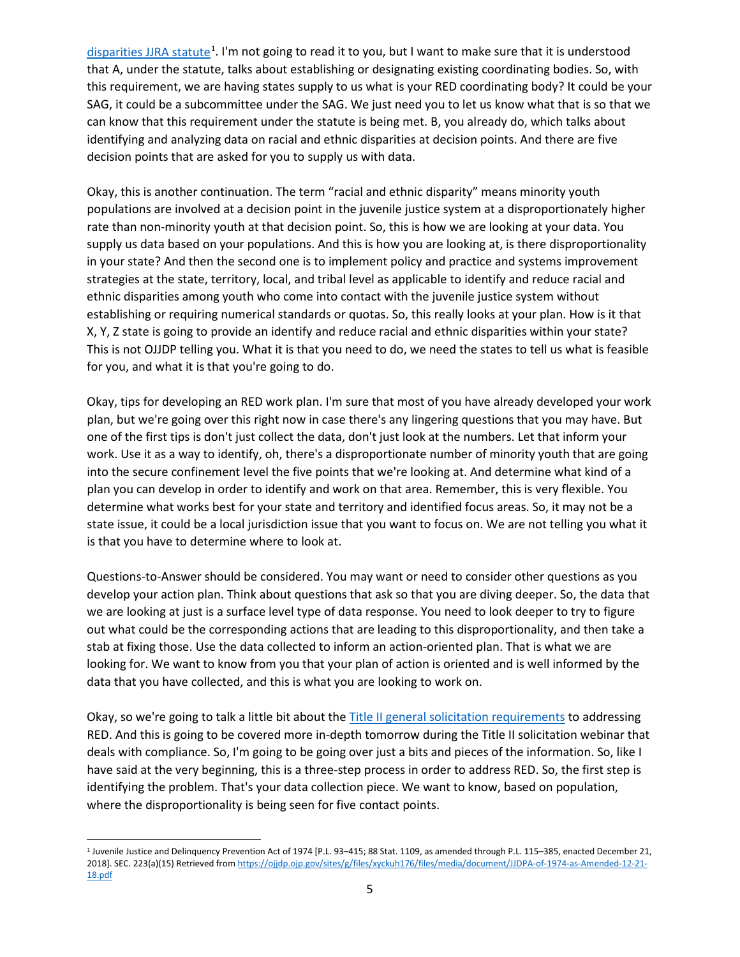disparities [JJRA statute](https://ojjdp.ojp.gov/sites/g/files/xyckuh176/files/media/document/JJDPA-of-1974-as-Amended-12-21-18.pdf)<sup>[1](#page-4-0)</sup>. I'm not going to read it to you, but I want to make sure that it is understood that A, under the statute, talks about establishing or designating existing coordinating bodies. So, with this requirement, we are having states supply to us what is your RED coordinating body? It could be your SAG, it could be a subcommittee under the SAG. We just need you to let us know what that is so that we can know that this requirement under the statute is being met. B, you already do, which talks about identifying and analyzing data on racial and ethnic disparities at decision points. And there are five decision points that are asked for you to supply us with data.

Okay, this is another continuation. The term "racial and ethnic disparity" means minority youth populations are involved at a decision point in the juvenile justice system at a disproportionately higher rate than non-minority youth at that decision point. So, this is how we are looking at your data. You supply us data based on your populations. And this is how you are looking at, is there disproportionality in your state? And then the second one is to implement policy and practice and systems improvement strategies at the state, territory, local, and tribal level as applicable to identify and reduce racial and ethnic disparities among youth who come into contact with the juvenile justice system without establishing or requiring numerical standards or quotas. So, this really looks at your plan. How is it that X, Y, Z state is going to provide an identify and reduce racial and ethnic disparities within your state? This is not OJJDP telling you. What it is that you need to do, we need the states to tell us what is feasible for you, and what it is that you're going to do.

Okay, tips for developing an RED work plan. I'm sure that most of you have already developed your work plan, but we're going over this right now in case there's any lingering questions that you may have. But one of the first tips is don't just collect the data, don't just look at the numbers. Let that inform your work. Use it as a way to identify, oh, there's a disproportionate number of minority youth that are going into the secure confinement level the five points that we're looking at. And determine what kind of a plan you can develop in order to identify and work on that area. Remember, this is very flexible. You determine what works best for your state and territory and identified focus areas. So, it may not be a state issue, it could be a local jurisdiction issue that you want to focus on. We are not telling you what it is that you have to determine where to look at.

Questions-to-Answer should be considered. You may want or need to consider other questions as you develop your action plan. Think about questions that ask so that you are diving deeper. So, the data that we are looking at just is a surface level type of data response. You need to look deeper to try to figure out what could be the corresponding actions that are leading to this disproportionality, and then take a stab at fixing those. Use the data collected to inform an action-oriented plan. That is what we are looking for. We want to know from you that your plan of action is oriented and is well informed by the data that you have collected, and this is what you are looking to work on.

Okay, so we're going to talk a little bit about the Title [II general solicitation requirements](https://ojjdp.ojp.gov/funding/fy2021/titleII/compliance-data) to addressing RED. And this is going to be covered more in-depth tomorrow during the Title II solicitation webinar that deals with compliance. So, I'm going to be going over just a bits and pieces of the information. So, like I have said at the very beginning, this is a three-step process in order to address RED. So, the first step is identifying the problem. That's your data collection piece. We want to know, based on population, where the disproportionality is being seen for five contact points.

<span id="page-4-0"></span><sup>1</sup> Juvenile Justice and Delinquency Prevention Act of 1974 [P.L. 93–415; 88 Stat. 1109, as amended through P.L. 115–385, enacted December 21, 2018]. SEC. 223(a)(15) Retrieved fro[m https://ojjdp.ojp.gov/sites/g/files/xyckuh176/files/media/document/JJDPA-of-1974-as-Amended-12-21-](https://ojjdp.ojp.gov/sites/g/files/xyckuh176/files/media/document/JJDPA-of-1974-as-Amended-12-21-18.pdf) [18.pdf](https://ojjdp.ojp.gov/sites/g/files/xyckuh176/files/media/document/JJDPA-of-1974-as-Amended-12-21-18.pdf)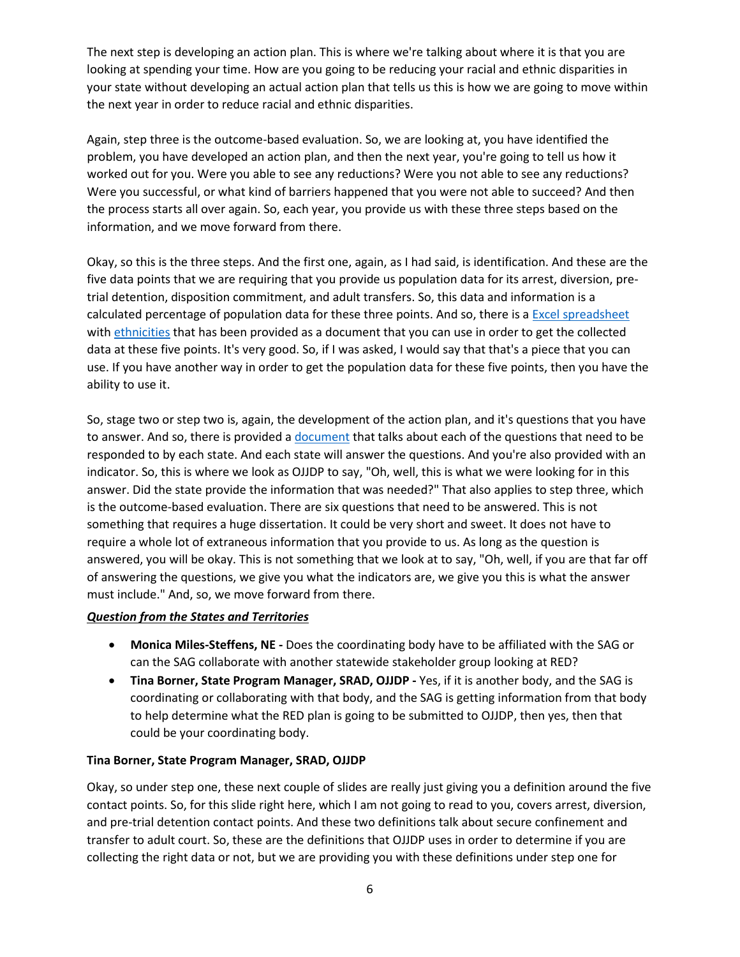The next step is developing an action plan. This is where we're talking about where it is that you are looking at spending your time. How are you going to be reducing your racial and ethnic disparities in your state without developing an actual action plan that tells us this is how we are going to move within the next year in order to reduce racial and ethnic disparities.

Again, step three is the outcome-based evaluation. So, we are looking at, you have identified the problem, you have developed an action plan, and then the next year, you're going to tell us how it worked out for you. Were you able to see any reductions? Were you not able to see any reductions? Were you successful, or what kind of barriers happened that you were not able to succeed? And then the process starts all over again. So, each year, you provide us with these three steps based on the information, and we move forward from there.

Okay, so this is the three steps. And the first one, again, as I had said, is identification. And these are the five data points that we are requiring that you provide us population data for its arrest, diversion, pretrial detention, disposition commitment, and adult transfers. So, this data and information is a calculated percentage of population data for these three points. And so, there is a [Excel spreadsheet](https://ccastates.org/blog/ojjdp-red-plan-definitions-and-table-builder) with [ethnicities](https://ccastates.org/system/files/event/2021/06/D.1_HOUT_RED%20Data%20Guide%20and%20Data%20Table%20Builder%20Ethnicity%202021.xlsx) that has been provided as a document that you can use in order to get the collected data at these five points. It's very good. So, if I was asked, I would say that that's a piece that you can use. If you have another way in order to get the population data for these five points, then you have the ability to use it.

So, stage two or step two is, again, the development of the action plan, and it's questions that you have to answer. And so, there is provided a [document](https://ccastates.org/system/files/event/2021/06/OJJDP%20Guidance%20for%20State%20Plans%20%E2%80%93%20RED%20Compliance%20Indicators_Final.pdf) that talks about each of the questions that need to be responded to by each state. And each state will answer the questions. And you're also provided with an indicator. So, this is where we look as OJJDP to say, "Oh, well, this is what we were looking for in this answer. Did the state provide the information that was needed?" That also applies to step three, which is the outcome-based evaluation. There are six questions that need to be answered. This is not something that requires a huge dissertation. It could be very short and sweet. It does not have to require a whole lot of extraneous information that you provide to us. As long as the question is answered, you will be okay. This is not something that we look at to say, "Oh, well, if you are that far off of answering the questions, we give you what the indicators are, we give you this is what the answer must include." And, so, we move forward from there.

#### *Question from the States and Territories*

- **Monica Miles-Steffens, NE -** Does the coordinating body have to be affiliated with the SAG or can the SAG collaborate with another statewide stakeholder group looking at RED?
- **Tina Borner, State Program Manager, SRAD, OJJDP -** Yes, if it is another body, and the SAG is coordinating or collaborating with that body, and the SAG is getting information from that body to help determine what the RED plan is going to be submitted to OJJDP, then yes, then that could be your coordinating body.

#### **Tina Borner, State Program Manager, SRAD, OJJDP**

Okay, so under step one, these next couple of slides are really just giving you a definition around the five contact points. So, for this slide right here, which I am not going to read to you, covers arrest, diversion, and pre-trial detention contact points. And these two definitions talk about secure confinement and transfer to adult court. So, these are the definitions that OJJDP uses in order to determine if you are collecting the right data or not, but we are providing you with these definitions under step one for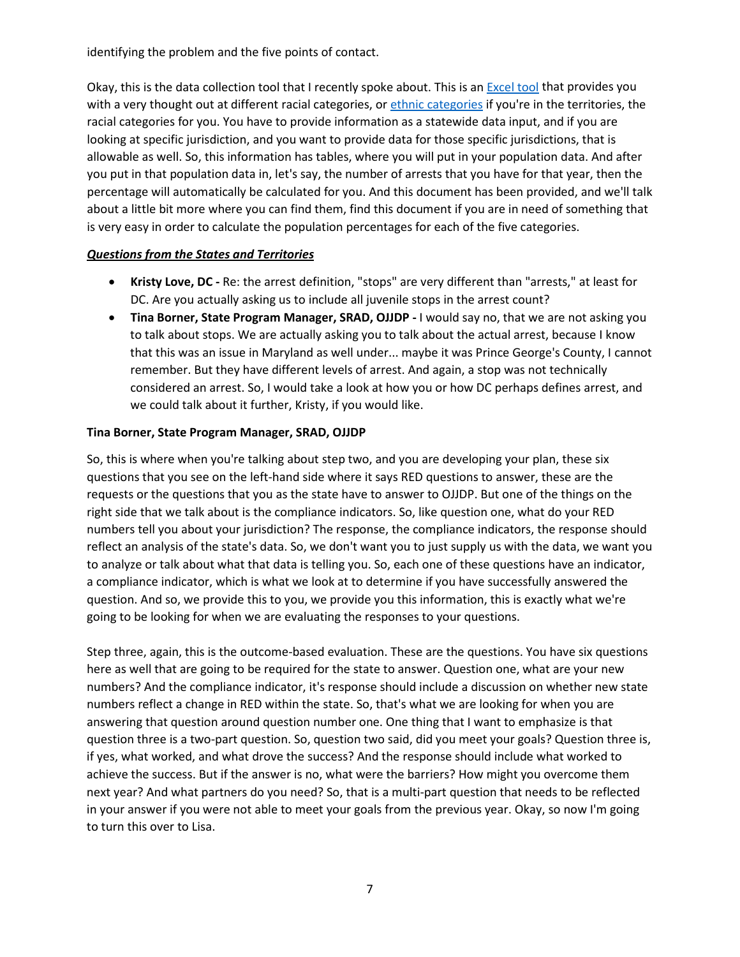identifying the problem and the five points of contact.

Okay, this is the data collection tool that I recently spoke about. This is an [Excel tool](https://ccastates.org/system/files/event/2021/06/D.1_HOUT_RED%20Data%20Guide%20and%20Data%20Table%20Builder.xlsx) that provides you with a very thought out at different racial categories, or [ethnic categories](https://ccastates.org/system/files/event/2021/06/D.1_HOUT_RED%20Data%20Guide%20and%20Data%20Table%20Builder%20Ethnicity%202021.xlsx) if you're in the territories, the racial categories for you. You have to provide information as a statewide data input, and if you are looking at specific jurisdiction, and you want to provide data for those specific jurisdictions, that is allowable as well. So, this information has tables, where you will put in your population data. And after you put in that population data in, let's say, the number of arrests that you have for that year, then the percentage will automatically be calculated for you. And this document has been provided, and we'll talk about a little bit more where you can find them, find this document if you are in need of something that is very easy in order to calculate the population percentages for each of the five categories.

# *Questions from the States and Territories*

- **Kristy Love, DC -** Re: the arrest definition, "stops" are very different than "arrests," at least for DC. Are you actually asking us to include all juvenile stops in the arrest count?
- **Tina Borner, State Program Manager, SRAD, OJJDP -** I would say no, that we are not asking you to talk about stops. We are actually asking you to talk about the actual arrest, because I know that this was an issue in Maryland as well under... maybe it was Prince George's County, I cannot remember. But they have different levels of arrest. And again, a stop was not technically considered an arrest. So, I would take a look at how you or how DC perhaps defines arrest, and we could talk about it further, Kristy, if you would like.

# **Tina Borner, State Program Manager, SRAD, OJJDP**

So, this is where when you're talking about step two, and you are developing your plan, these six questions that you see on the left-hand side where it says RED questions to answer, these are the requests or the questions that you as the state have to answer to OJJDP. But one of the things on the right side that we talk about is the compliance indicators. So, like question one, what do your RED numbers tell you about your jurisdiction? The response, the compliance indicators, the response should reflect an analysis of the state's data. So, we don't want you to just supply us with the data, we want you to analyze or talk about what that data is telling you. So, each one of these questions have an indicator, a compliance indicator, which is what we look at to determine if you have successfully answered the question. And so, we provide this to you, we provide you this information, this is exactly what we're going to be looking for when we are evaluating the responses to your questions.

Step three, again, this is the outcome-based evaluation. These are the questions. You have six questions here as well that are going to be required for the state to answer. Question one, what are your new numbers? And the compliance indicator, it's response should include a discussion on whether new state numbers reflect a change in RED within the state. So, that's what we are looking for when you are answering that question around question number one. One thing that I want to emphasize is that question three is a two-part question. So, question two said, did you meet your goals? Question three is, if yes, what worked, and what drove the success? And the response should include what worked to achieve the success. But if the answer is no, what were the barriers? How might you overcome them next year? And what partners do you need? So, that is a multi-part question that needs to be reflected in your answer if you were not able to meet your goals from the previous year. Okay, so now I'm going to turn this over to Lisa.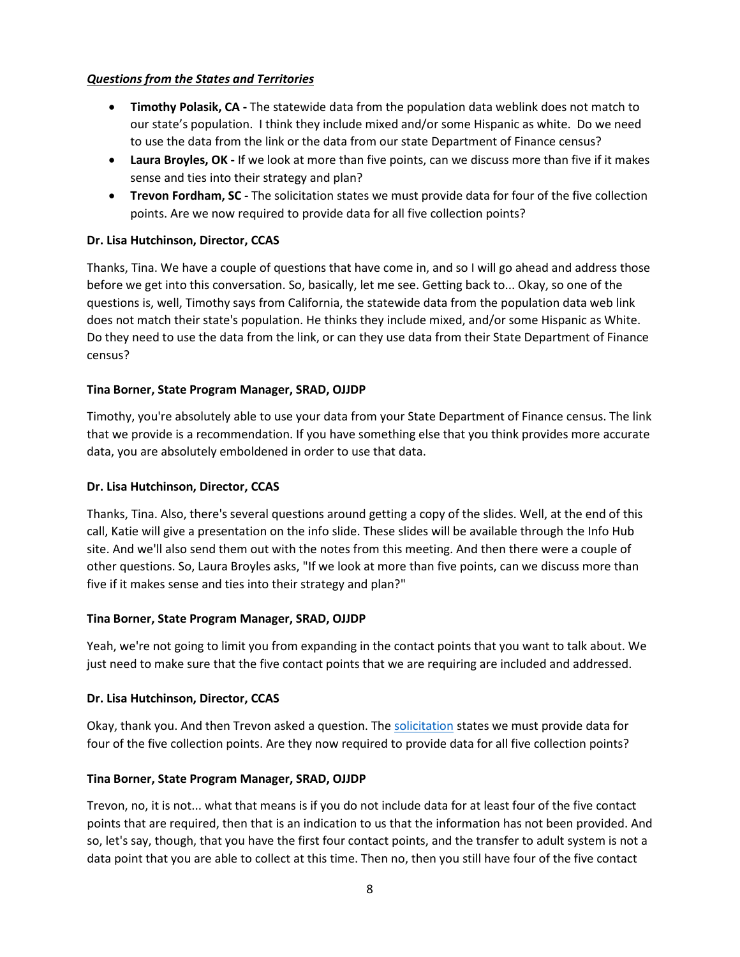# *Questions from the States and Territories*

- **Timothy Polasik, CA -** The statewide data from the population data weblink does not match to our state's population. I think they include mixed and/or some Hispanic as white. Do we need to use the data from the link or the data from our state Department of Finance census?
- **Laura Broyles, OK -** If we look at more than five points, can we discuss more than five if it makes sense and ties into their strategy and plan?
- **Trevon Fordham, SC -** The solicitation states we must provide data for four of the five collection points. Are we now required to provide data for all five collection points?

# **Dr. Lisa Hutchinson, Director, CCAS**

Thanks, Tina. We have a couple of questions that have come in, and so I will go ahead and address those before we get into this conversation. So, basically, let me see. Getting back to... Okay, so one of the questions is, well, Timothy says from California, the statewide data from the population data web link does not match their state's population. He thinks they include mixed, and/or some Hispanic as White. Do they need to use the data from the link, or can they use data from their State Department of Finance census?

# **Tina Borner, State Program Manager, SRAD, OJJDP**

Timothy, you're absolutely able to use your data from your State Department of Finance census. The link that we provide is a recommendation. If you have something else that you think provides more accurate data, you are absolutely emboldened in order to use that data.

### **Dr. Lisa Hutchinson, Director, CCAS**

Thanks, Tina. Also, there's several questions around getting a copy of the slides. Well, at the end of this call, Katie will give a presentation on the info slide. These slides will be available through the Info Hub site. And we'll also send them out with the notes from this meeting. And then there were a couple of other questions. So, Laura Broyles asks, "If we look at more than five points, can we discuss more than five if it makes sense and ties into their strategy and plan?"

### **Tina Borner, State Program Manager, SRAD, OJJDP**

Yeah, we're not going to limit you from expanding in the contact points that you want to talk about. We just need to make sure that the five contact points that we are requiring are included and addressed.

### **Dr. Lisa Hutchinson, Director, CCAS**

Okay, thank you. And then Trevon asked a question. The [solicitation](https://ojjdp.ojp.gov/funding/FY21-Title-II-Solicitation-Files) states we must provide data for four of the five collection points. Are they now required to provide data for all five collection points?

### **Tina Borner, State Program Manager, SRAD, OJJDP**

Trevon, no, it is not... what that means is if you do not include data for at least four of the five contact points that are required, then that is an indication to us that the information has not been provided. And so, let's say, though, that you have the first four contact points, and the transfer to adult system is not a data point that you are able to collect at this time. Then no, then you still have four of the five contact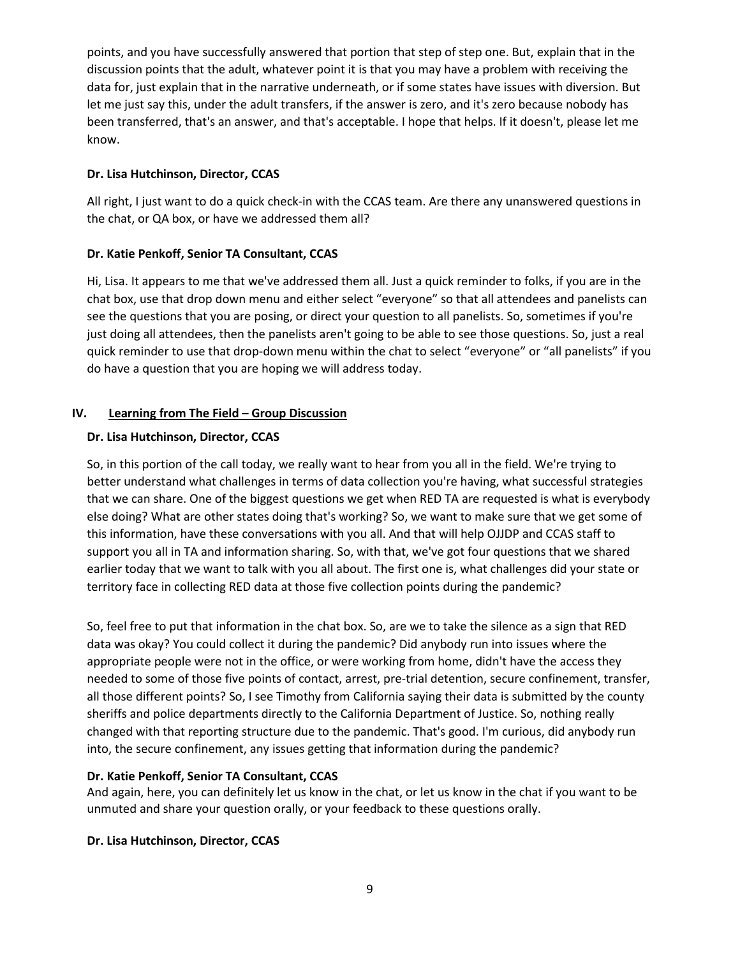points, and you have successfully answered that portion that step of step one. But, explain that in the discussion points that the adult, whatever point it is that you may have a problem with receiving the data for, just explain that in the narrative underneath, or if some states have issues with diversion. But let me just say this, under the adult transfers, if the answer is zero, and it's zero because nobody has been transferred, that's an answer, and that's acceptable. I hope that helps. If it doesn't, please let me know.

# **Dr. Lisa Hutchinson, Director, CCAS**

All right, I just want to do a quick check-in with the CCAS team. Are there any unanswered questions in the chat, or QA box, or have we addressed them all?

# **Dr. Katie Penkoff, Senior TA Consultant, CCAS**

Hi, Lisa. It appears to me that we've addressed them all. Just a quick reminder to folks, if you are in the chat box, use that drop down menu and either select "everyone" so that all attendees and panelists can see the questions that you are posing, or direct your question to all panelists. So, sometimes if you're just doing all attendees, then the panelists aren't going to be able to see those questions. So, just a real quick reminder to use that drop-down menu within the chat to select "everyone" or "all panelists" if you do have a question that you are hoping we will address today.

# **IV. Learning from The Field – Group Discussion**

# **Dr. Lisa Hutchinson, Director, CCAS**

So, in this portion of the call today, we really want to hear from you all in the field. We're trying to better understand what challenges in terms of data collection you're having, what successful strategies that we can share. One of the biggest questions we get when RED TA are requested is what is everybody else doing? What are other states doing that's working? So, we want to make sure that we get some of this information, have these conversations with you all. And that will help OJJDP and CCAS staff to support you all in TA and information sharing. So, with that, we've got four questions that we shared earlier today that we want to talk with you all about. The first one is, what challenges did your state or territory face in collecting RED data at those five collection points during the pandemic?

So, feel free to put that information in the chat box. So, are we to take the silence as a sign that RED data was okay? You could collect it during the pandemic? Did anybody run into issues where the appropriate people were not in the office, or were working from home, didn't have the access they needed to some of those five points of contact, arrest, pre-trial detention, secure confinement, transfer, all those different points? So, I see Timothy from California saying their data is submitted by the county sheriffs and police departments directly to the California Department of Justice. So, nothing really changed with that reporting structure due to the pandemic. That's good. I'm curious, did anybody run into, the secure confinement, any issues getting that information during the pandemic?

### **Dr. Katie Penkoff, Senior TA Consultant, CCAS**

And again, here, you can definitely let us know in the chat, or let us know in the chat if you want to be unmuted and share your question orally, or your feedback to these questions orally.

### **Dr. Lisa Hutchinson, Director, CCAS**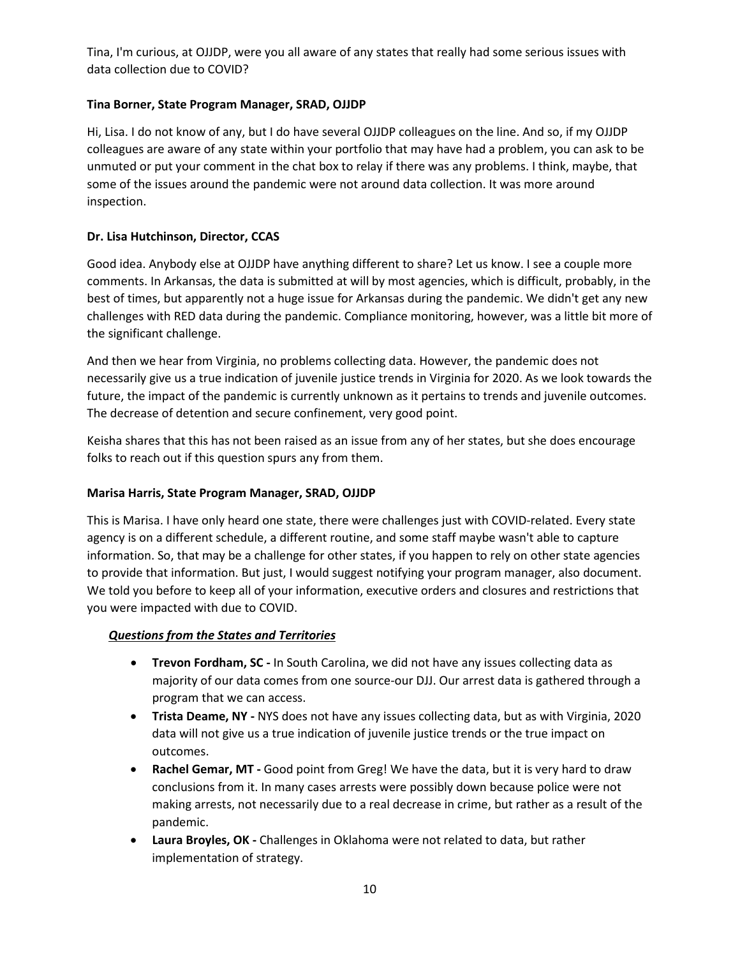Tina, I'm curious, at OJJDP, were you all aware of any states that really had some serious issues with data collection due to COVID?

# **Tina Borner, State Program Manager, SRAD, OJJDP**

Hi, Lisa. I do not know of any, but I do have several OJJDP colleagues on the line. And so, if my OJJDP colleagues are aware of any state within your portfolio that may have had a problem, you can ask to be unmuted or put your comment in the chat box to relay if there was any problems. I think, maybe, that some of the issues around the pandemic were not around data collection. It was more around inspection.

# **Dr. Lisa Hutchinson, Director, CCAS**

Good idea. Anybody else at OJJDP have anything different to share? Let us know. I see a couple more comments. In Arkansas, the data is submitted at will by most agencies, which is difficult, probably, in the best of times, but apparently not a huge issue for Arkansas during the pandemic. We didn't get any new challenges with RED data during the pandemic. Compliance monitoring, however, was a little bit more of the significant challenge.

And then we hear from Virginia, no problems collecting data. However, the pandemic does not necessarily give us a true indication of juvenile justice trends in Virginia for 2020. As we look towards the future, the impact of the pandemic is currently unknown as it pertains to trends and juvenile outcomes. The decrease of detention and secure confinement, very good point.

Keisha shares that this has not been raised as an issue from any of her states, but she does encourage folks to reach out if this question spurs any from them.

### **Marisa Harris, State Program Manager, SRAD, OJJDP**

This is Marisa. I have only heard one state, there were challenges just with COVID-related. Every state agency is on a different schedule, a different routine, and some staff maybe wasn't able to capture information. So, that may be a challenge for other states, if you happen to rely on other state agencies to provide that information. But just, I would suggest notifying your program manager, also document. We told you before to keep all of your information, executive orders and closures and restrictions that you were impacted with due to COVID.

### *Questions from the States and Territories*

- **Trevon Fordham, SC -** In South Carolina, we did not have any issues collecting data as majority of our data comes from one source-our DJJ. Our arrest data is gathered through a program that we can access.
- **Trista Deame, NY -** NYS does not have any issues collecting data, but as with Virginia, 2020 data will not give us a true indication of juvenile justice trends or the true impact on outcomes.
- **Rachel Gemar, MT -** Good point from Greg! We have the data, but it is very hard to draw conclusions from it. In many cases arrests were possibly down because police were not making arrests, not necessarily due to a real decrease in crime, but rather as a result of the pandemic.
- **Laura Broyles, OK -** Challenges in Oklahoma were not related to data, but rather implementation of strategy.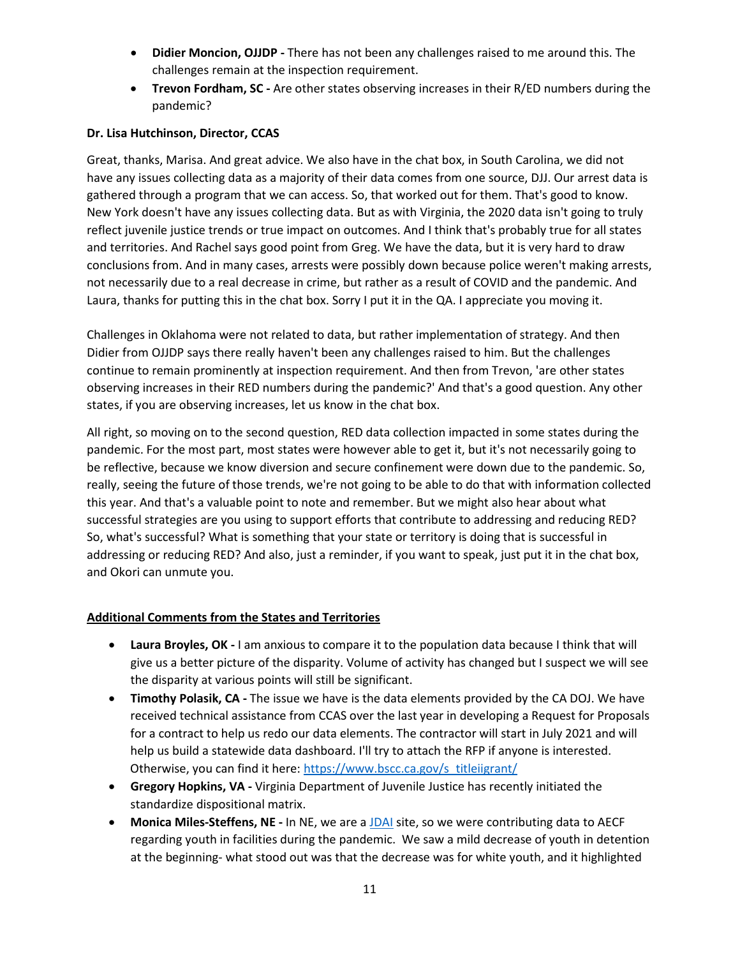- **Didier Moncion, OJJDP -** There has not been any challenges raised to me around this. The challenges remain at the inspection requirement.
- **Trevon Fordham, SC -** Are other states observing increases in their R/ED numbers during the pandemic?

# **Dr. Lisa Hutchinson, Director, CCAS**

Great, thanks, Marisa. And great advice. We also have in the chat box, in South Carolina, we did not have any issues collecting data as a majority of their data comes from one source, DJJ. Our arrest data is gathered through a program that we can access. So, that worked out for them. That's good to know. New York doesn't have any issues collecting data. But as with Virginia, the 2020 data isn't going to truly reflect juvenile justice trends or true impact on outcomes. And I think that's probably true for all states and territories. And Rachel says good point from Greg. We have the data, but it is very hard to draw conclusions from. And in many cases, arrests were possibly down because police weren't making arrests, not necessarily due to a real decrease in crime, but rather as a result of COVID and the pandemic. And Laura, thanks for putting this in the chat box. Sorry I put it in the QA. I appreciate you moving it.

Challenges in Oklahoma were not related to data, but rather implementation of strategy. And then Didier from OJJDP says there really haven't been any challenges raised to him. But the challenges continue to remain prominently at inspection requirement. And then from Trevon, 'are other states observing increases in their RED numbers during the pandemic?' And that's a good question. Any other states, if you are observing increases, let us know in the chat box.

All right, so moving on to the second question, RED data collection impacted in some states during the pandemic. For the most part, most states were however able to get it, but it's not necessarily going to be reflective, because we know diversion and secure confinement were down due to the pandemic. So, really, seeing the future of those trends, we're not going to be able to do that with information collected this year. And that's a valuable point to note and remember. But we might also hear about what successful strategies are you using to support efforts that contribute to addressing and reducing RED? So, what's successful? What is something that your state or territory is doing that is successful in addressing or reducing RED? And also, just a reminder, if you want to speak, just put it in the chat box, and Okori can unmute you.

# **Additional Comments from the States and Territories**

- **Laura Broyles, OK -** I am anxious to compare it to the population data because I think that will give us a better picture of the disparity. Volume of activity has changed but I suspect we will see the disparity at various points will still be significant.
- **Timothy Polasik, CA -** The issue we have is the data elements provided by the CA DOJ. We have received technical assistance from CCAS over the last year in developing a Request for Proposals for a contract to help us redo our data elements. The contractor will start in July 2021 and will help us build a statewide data dashboard. I'll try to attach the RFP if anyone is interested. Otherwise, you can find it here: [https://www.bscc.ca.gov/s\\_titleiigrant/](https://www.bscc.ca.gov/s_titleiigrant/)
- **Gregory Hopkins, VA -** Virginia Department of Juvenile Justice has recently initiated the standardize dispositional matrix.
- **Monica Miles-Steffens, NE -** In NE, we are a [JDAI](https://www.aecf.org/work/juvenile-justice/jdai) site, so we were contributing data to AECF regarding youth in facilities during the pandemic. We saw a mild decrease of youth in detention at the beginning- what stood out was that the decrease was for white youth, and it highlighted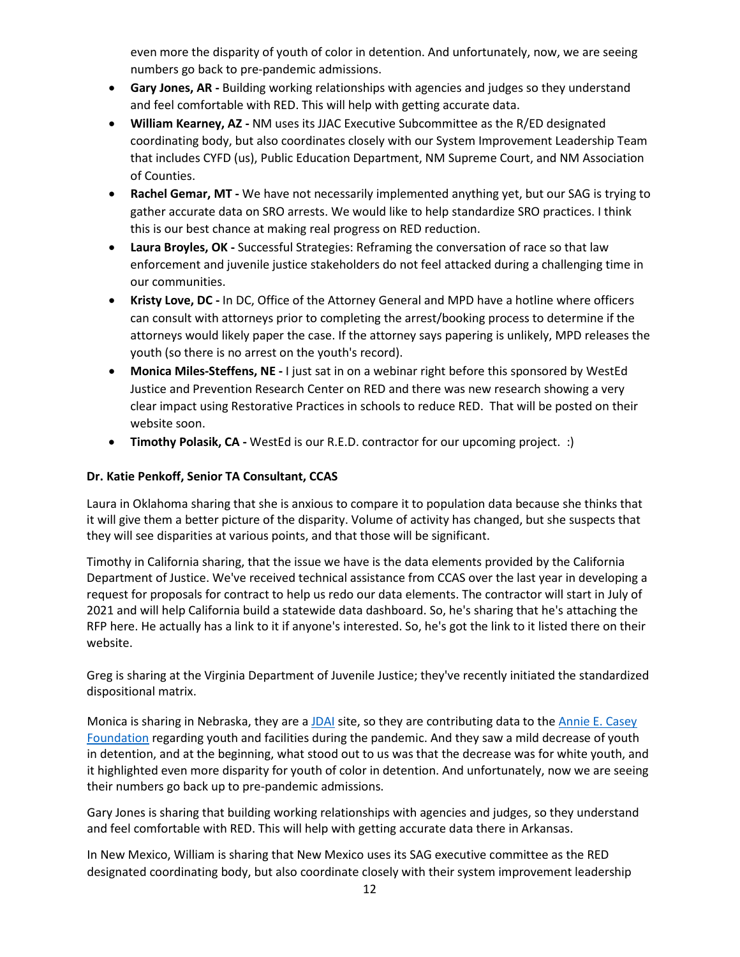even more the disparity of youth of color in detention. And unfortunately, now, we are seeing numbers go back to pre-pandemic admissions.

- **Gary Jones, AR -** Building working relationships with agencies and judges so they understand and feel comfortable with RED. This will help with getting accurate data.
- **William Kearney, AZ -** NM uses its JJAC Executive Subcommittee as the R/ED designated coordinating body, but also coordinates closely with our System Improvement Leadership Team that includes CYFD (us), Public Education Department, NM Supreme Court, and NM Association of Counties.
- **Rachel Gemar, MT -** We have not necessarily implemented anything yet, but our SAG is trying to gather accurate data on SRO arrests. We would like to help standardize SRO practices. I think this is our best chance at making real progress on RED reduction.
- **Laura Broyles, OK -** Successful Strategies: Reframing the conversation of race so that law enforcement and juvenile justice stakeholders do not feel attacked during a challenging time in our communities.
- **Kristy Love, DC -** In DC, Office of the Attorney General and MPD have a hotline where officers can consult with attorneys prior to completing the arrest/booking process to determine if the attorneys would likely paper the case. If the attorney says papering is unlikely, MPD releases the youth (so there is no arrest on the youth's record).
- **Monica Miles-Steffens, NE -** I just sat in on a webinar right before this sponsored by WestEd Justice and Prevention Research Center on RED and there was new research showing a very clear impact using Restorative Practices in schools to reduce RED. That will be posted on their website soon.
- **Timothy Polasik, CA -** WestEd is our R.E.D. contractor for our upcoming project. :)

# **Dr. Katie Penkoff, Senior TA Consultant, CCAS**

Laura in Oklahoma sharing that she is anxious to compare it to population data because she thinks that it will give them a better picture of the disparity. Volume of activity has changed, but she suspects that they will see disparities at various points, and that those will be significant.

Timothy in California sharing, that the issue we have is the data elements provided by the California Department of Justice. We've received technical assistance from CCAS over the last year in developing a request for proposals for contract to help us redo our data elements. The contractor will start in July of 2021 and will help California build a statewide data dashboard. So, he's sharing that he's attaching the RFP here. He actually has a link to it if anyone's interested. So, he's got the link to it listed there on their website.

Greg is sharing at the Virginia Department of Juvenile Justice; they've recently initiated the standardized dispositional matrix.

Monica is sharing in Nebraska, they are [a JDAI](https://www.aecf.org/work/juvenile-justice/jdai) site, so they are contributing data to the [Annie E.](https://www.aecf.org/work/juvenile-justice/jdai) Casey [Foundation](https://www.aecf.org/work/juvenile-justice/jdai) regarding youth and facilities during the pandemic. And they saw a mild decrease of youth in detention, and at the beginning, what stood out to us was that the decrease was for white youth, and it highlighted even more disparity for youth of color in detention. And unfortunately, now we are seeing their numbers go back up to pre-pandemic admissions.

Gary Jones is sharing that building working relationships with agencies and judges, so they understand and feel comfortable with RED. This will help with getting accurate data there in Arkansas.

In New Mexico, William is sharing that New Mexico uses its SAG executive committee as the RED designated coordinating body, but also coordinate closely with their system improvement leadership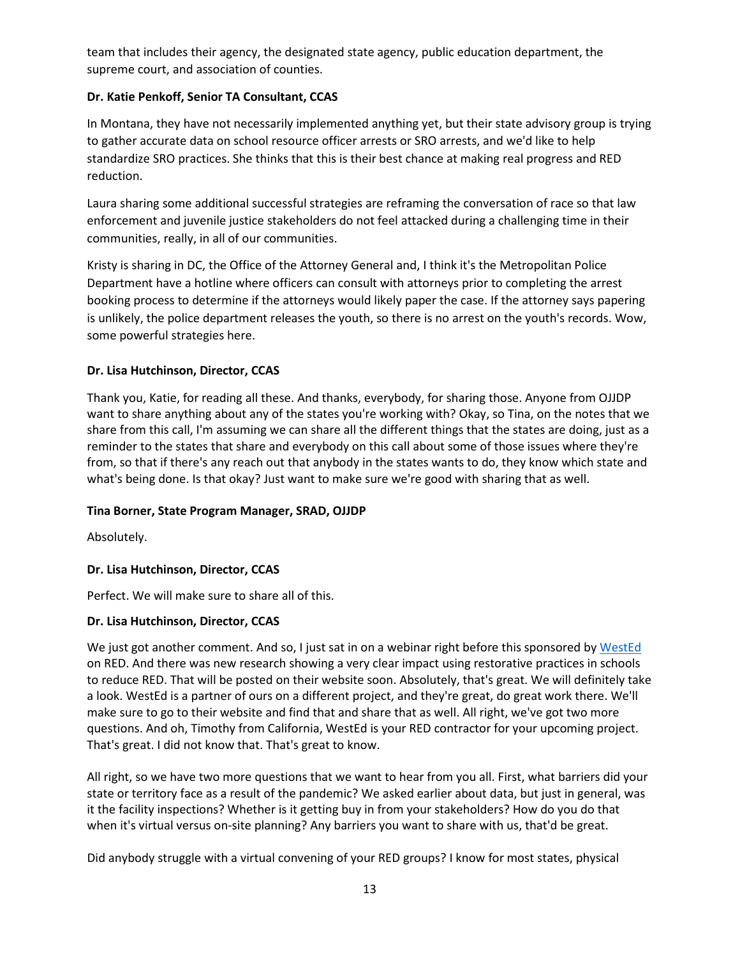team that includes their agency, the designated state agency, public education department, the supreme court, and association of counties.

# **Dr. Katie Penkoff, Senior TA Consultant, CCAS**

In Montana, they have not necessarily implemented anything yet, but their state advisory group is trying to gather accurate data on school resource officer arrests or SRO arrests, and we'd like to help standardize SRO practices. She thinks that this is their best chance at making real progress and RED reduction.

Laura sharing some additional successful strategies are reframing the conversation of race so that law enforcement and juvenile justice stakeholders do not feel attacked during a challenging time in their communities, really, in all of our communities.

Kristy is sharing in DC, the Office of the Attorney General and, I think it's the Metropolitan Police Department have a hotline where officers can consult with attorneys prior to completing the arrest booking process to determine if the attorneys would likely paper the case. If the attorney says papering is unlikely, the police department releases the youth, so there is no arrest on the youth's records. Wow, some powerful strategies here.

# **Dr. Lisa Hutchinson, Director, CCAS**

Thank you, Katie, for reading all these. And thanks, everybody, for sharing those. Anyone from OJJDP want to share anything about any of the states you're working with? Okay, so Tina, on the notes that we share from this call, I'm assuming we can share all the different things that the states are doing, just as a reminder to the states that share and everybody on this call about some of those issues where they're from, so that if there's any reach out that anybody in the states wants to do, they know which state and what's being done. Is that okay? Just want to make sure we're good with sharing that as well.

### **Tina Borner, State Program Manager, SRAD, OJJDP**

Absolutely.

# **Dr. Lisa Hutchinson, Director, CCAS**

Perfect. We will make sure to share all of this.

### **Dr. Lisa Hutchinson, Director, CCAS**

We just got another comment. And so, I just sat in on a webinar right before this sponsored by [WestEd](https://www.wested.org/) on RED. And there was new research showing a very clear impact using restorative practices in schools to reduce RED. That will be posted on their website soon. Absolutely, that's great. We will definitely take a look. WestEd is a partner of ours on a different project, and they're great, do great work there. We'll make sure to go to their website and find that and share that as well. All right, we've got two more questions. And oh, Timothy from California, WestEd is your RED contractor for your upcoming project. That's great. I did not know that. That's great to know.

All right, so we have two more questions that we want to hear from you all. First, what barriers did your state or territory face as a result of the pandemic? We asked earlier about data, but just in general, was it the facility inspections? Whether is it getting buy in from your stakeholders? How do you do that when it's virtual versus on-site planning? Any barriers you want to share with us, that'd be great.

Did anybody struggle with a virtual convening of your RED groups? I know for most states, physical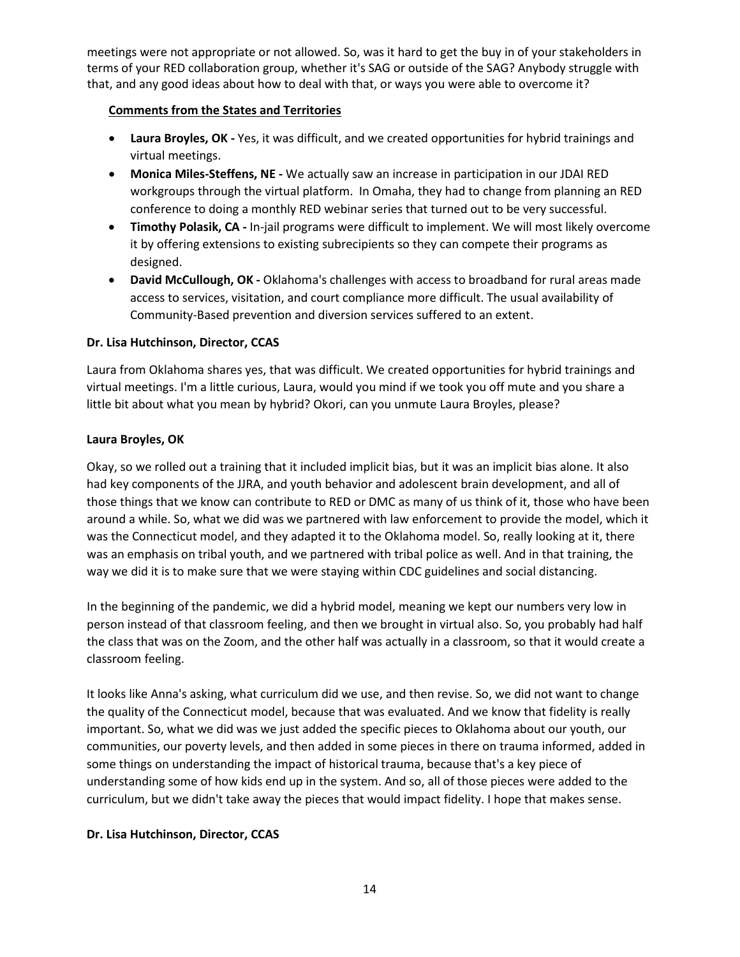meetings were not appropriate or not allowed. So, was it hard to get the buy in of your stakeholders in terms of your RED collaboration group, whether it's SAG or outside of the SAG? Anybody struggle with that, and any good ideas about how to deal with that, or ways you were able to overcome it?

# **Comments from the States and Territories**

- **Laura Broyles, OK -** Yes, it was difficult, and we created opportunities for hybrid trainings and virtual meetings.
- **Monica Miles-Steffens, NE -** We actually saw an increase in participation in our JDAI RED workgroups through the virtual platform. In Omaha, they had to change from planning an RED conference to doing a monthly RED webinar series that turned out to be very successful.
- **Timothy Polasik, CA -** In-jail programs were difficult to implement. We will most likely overcome it by offering extensions to existing subrecipients so they can compete their programs as designed.
- **David McCullough, OK -** Oklahoma's challenges with access to broadband for rural areas made access to services, visitation, and court compliance more difficult. The usual availability of Community-Based prevention and diversion services suffered to an extent.

# **Dr. Lisa Hutchinson, Director, CCAS**

Laura from Oklahoma shares yes, that was difficult. We created opportunities for hybrid trainings and virtual meetings. I'm a little curious, Laura, would you mind if we took you off mute and you share a little bit about what you mean by hybrid? Okori, can you unmute Laura Broyles, please?

# **Laura Broyles, OK**

Okay, so we rolled out a training that it included implicit bias, but it was an implicit bias alone. It also had key components of the JJRA, and youth behavior and adolescent brain development, and all of those things that we know can contribute to RED or DMC as many of us think of it, those who have been around a while. So, what we did was we partnered with law enforcement to provide the model, which it was the Connecticut model, and they adapted it to the Oklahoma model. So, really looking at it, there was an emphasis on tribal youth, and we partnered with tribal police as well. And in that training, the way we did it is to make sure that we were staying within CDC guidelines and social distancing.

In the beginning of the pandemic, we did a hybrid model, meaning we kept our numbers very low in person instead of that classroom feeling, and then we brought in virtual also. So, you probably had half the class that was on the Zoom, and the other half was actually in a classroom, so that it would create a classroom feeling.

It looks like Anna's asking, what curriculum did we use, and then revise. So, we did not want to change the quality of the Connecticut model, because that was evaluated. And we know that fidelity is really important. So, what we did was we just added the specific pieces to Oklahoma about our youth, our communities, our poverty levels, and then added in some pieces in there on trauma informed, added in some things on understanding the impact of historical trauma, because that's a key piece of understanding some of how kids end up in the system. And so, all of those pieces were added to the curriculum, but we didn't take away the pieces that would impact fidelity. I hope that makes sense.

# **Dr. Lisa Hutchinson, Director, CCAS**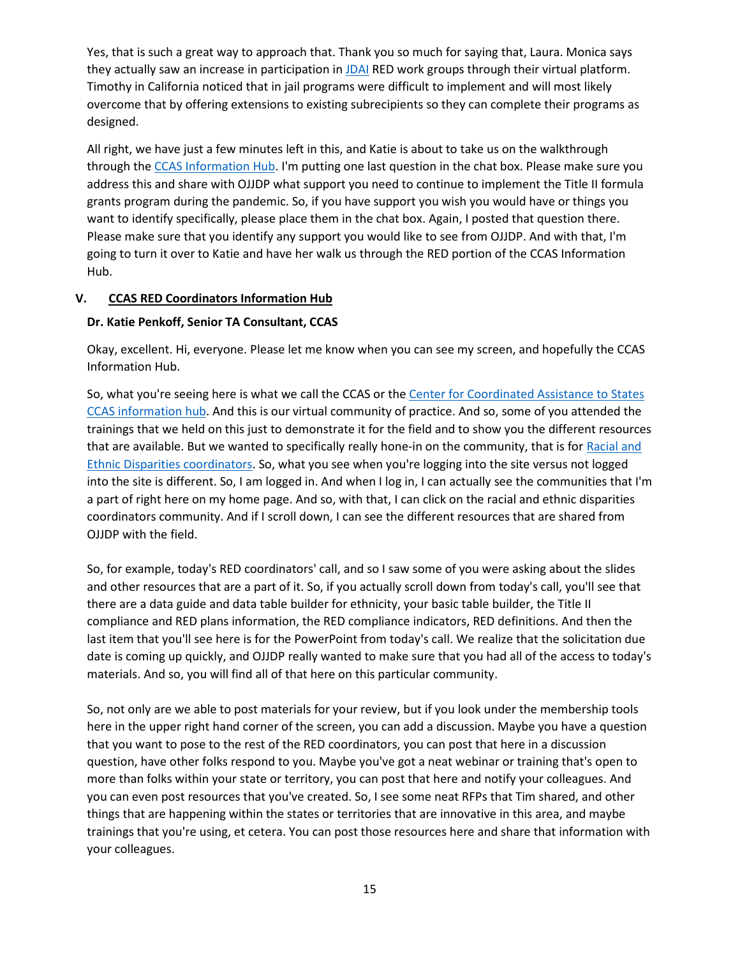Yes, that is such a great way to approach that. Thank you so much for saying that, Laura. Monica says they actually saw an increase in participation in [JDAI](https://www.aecf.org/work/juvenile-justice/jdai) RED work groups through their virtual platform. Timothy in California noticed that in jail programs were difficult to implement and will most likely overcome that by offering extensions to existing subrecipients so they can complete their programs as designed.

All right, we have just a few minutes left in this, and Katie is about to take us on the walkthrough through the [CCAS Information Hub.](https://ccastates.org/) I'm putting one last question in the chat box. Please make sure you address this and share with OJJDP what support you need to continue to implement the Title II formula grants program during the pandemic. So, if you have support you wish you would have or things you want to identify specifically, please place them in the chat box. Again, I posted that question there. Please make sure that you identify any support you would like to see from OJJDP. And with that, I'm going to turn it over to Katie and have her walk us through the RED portion of the CCAS Information Hub.

# **V. CCAS RED Coordinators Information Hub**

# **Dr. Katie Penkoff, Senior TA Consultant, CCAS**

Okay, excellent. Hi, everyone. Please let me know when you can see my screen, and hopefully the CCAS Information Hub.

So, what you're seeing here is what we call the CCAS or the [Center for Coordinated Assistance to States](https://ccastates.org/) [CCAS information hub.](https://ccastates.org/) And this is our virtual community of practice. And so, some of you attended the trainings that we held on this just to demonstrate it for the field and to show you the different resources that are available. But we wanted to specifically really hone-in on the community, that is for [Racial and](https://ccastates.org/communities/racial-and-ethnic-disparities-coordinators-dsa)  [Ethnic Disparities coordinators.](https://ccastates.org/communities/racial-and-ethnic-disparities-coordinators-dsa) So, what you see when you're logging into the site versus not logged into the site is different. So, I am logged in. And when I log in, I can actually see the communities that I'm a part of right here on my home page. And so, with that, I can click on the racial and ethnic disparities coordinators community. And if I scroll down, I can see the different resources that are shared from OJJDP with the field.

So, for example, today's RED coordinators' call, and so I saw some of you were asking about the slides and other resources that are a part of it. So, if you actually scroll down from today's call, you'll see that there are a data guide and data table builder for ethnicity, your basic table builder, the Title II compliance and RED plans information, the RED compliance indicators, RED definitions. And then the last item that you'll see here is for the PowerPoint from today's call. We realize that the solicitation due date is coming up quickly, and OJJDP really wanted to make sure that you had all of the access to today's materials. And so, you will find all of that here on this particular community.

So, not only are we able to post materials for your review, but if you look under the membership tools here in the upper right hand corner of the screen, you can add a discussion. Maybe you have a question that you want to pose to the rest of the RED coordinators, you can post that here in a discussion question, have other folks respond to you. Maybe you've got a neat webinar or training that's open to more than folks within your state or territory, you can post that here and notify your colleagues. And you can even post resources that you've created. So, I see some neat RFPs that Tim shared, and other things that are happening within the states or territories that are innovative in this area, and maybe trainings that you're using, et cetera. You can post those resources here and share that information with your colleagues.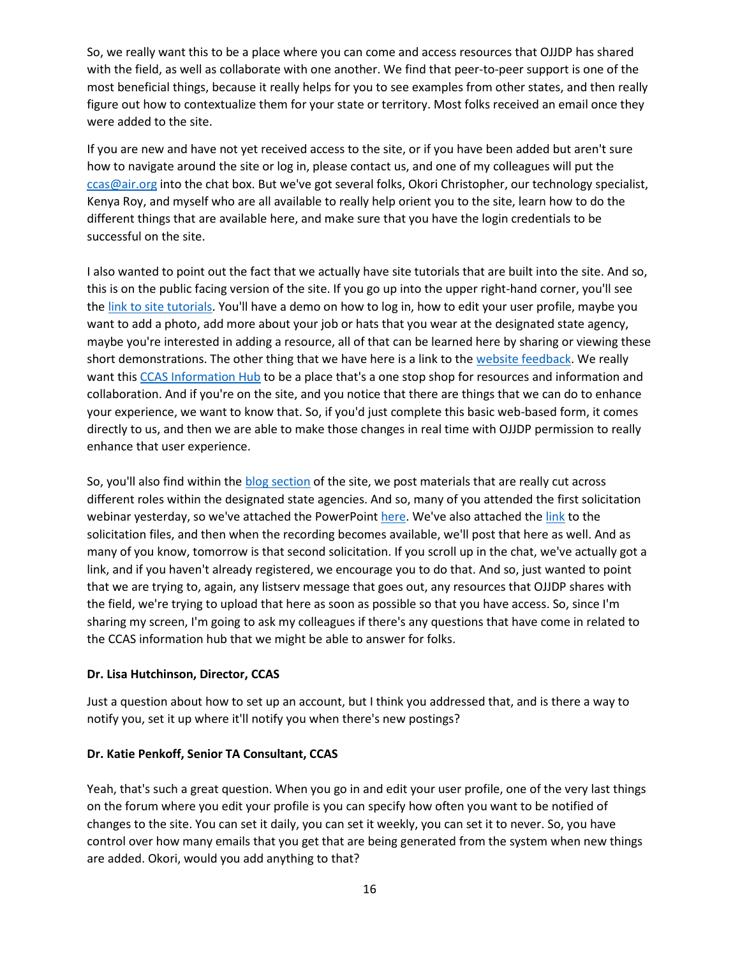So, we really want this to be a place where you can come and access resources that OJJDP has shared with the field, as well as collaborate with one another. We find that peer-to-peer support is one of the most beneficial things, because it really helps for you to see examples from other states, and then really figure out how to contextualize them for your state or territory. Most folks received an email once they were added to the site.

If you are new and have not yet received access to the site, or if you have been added but aren't sure how to navigate around the site or log in, please contact us, and one of my colleagues will put the ccas@air.org into the chat box. But we've got several folks, Okori Christopher, our technology specialist, Kenya Roy, and myself who are all available to really help orient you to the site, learn how to do the different things that are available here, and make sure that you have the login credentials to be successful on the site.

I also wanted to point out the fact that we actually have site tutorials that are built into the site. And so, this is on the public facing version of the site. If you go up into the upper right-hand corner, you'll see the link [to site tutorials.](https://ccastates.org/website-tutorial-videos) You'll have a demo on how to log in, how to edit your user profile, maybe you want to add a photo, add more about your job or hats that you wear at the designated state agency, maybe you're interested in adding a resource, all of that can be learned here by sharing or viewing these short demonstrations. The other thing that we have here is a link to the [website feedback.](https://ccastates.org/contact/website_feedback) We really want this [CCAS Information Hub](https://ccastates.org/) to be a place that's a one stop shop for resources and information and collaboration. And if you're on the site, and you notice that there are things that we can do to enhance your experience, we want to know that. So, if you'd just complete this basic web-based form, it comes directly to us, and then we are able to make those changes in real time with OJJDP permission to really enhance that user experience.

So, you'll also find within the [blog section](https://ccastates.org/blog) of the site, we post materials that are really cut across different roles within the designated state agencies. And so, many of you attended the first solicitation webinar yesterday, so we've attached the PowerPoint [here.](https://ccastates.org/system/files/2021/06/OJJDP%20FY%2021%20Title%20II%20Formula%20Program%20Solicitation%20Webinar.pdf) We've also attached th[e link](https://ojjdp.ojp.gov/funding/FY21-Title-II-Solicitation-Files) to the solicitation files, and then when the recording becomes available, we'll post that here as well. And as many of you know, tomorrow is that second solicitation. If you scroll up in the chat, we've actually got a link, and if you haven't already registered, we encourage you to do that. And so, just wanted to point that we are trying to, again, any listserv message that goes out, any resources that OJJDP shares with the field, we're trying to upload that here as soon as possible so that you have access. So, since I'm sharing my screen, I'm going to ask my colleagues if there's any questions that have come in related to the CCAS information hub that we might be able to answer for folks.

### **Dr. Lisa Hutchinson, Director, CCAS**

Just a question about how to set up an account, but I think you addressed that, and is there a way to notify you, set it up where it'll notify you when there's new postings?

### **Dr. Katie Penkoff, Senior TA Consultant, CCAS**

Yeah, that's such a great question. When you go in and edit your user profile, one of the very last things on the forum where you edit your profile is you can specify how often you want to be notified of changes to the site. You can set it daily, you can set it weekly, you can set it to never. So, you have control over how many emails that you get that are being generated from the system when new things are added. Okori, would you add anything to that?